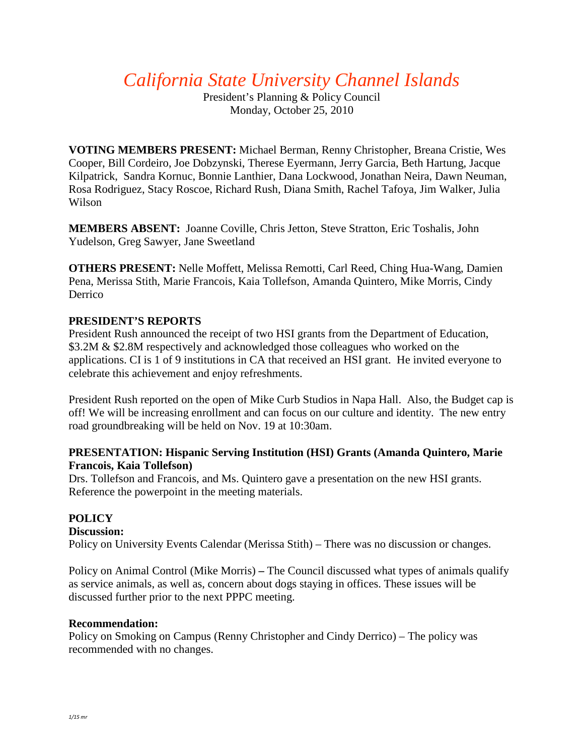*California State University Channel Islands*

President's Planning & Policy Council Monday, October 25, 2010

**VOTING MEMBERS PRESENT:** Michael Berman, Renny Christopher, Breana Cristie, Wes Cooper, Bill Cordeiro, Joe Dobzynski, Therese Eyermann, Jerry Garcia, Beth Hartung, Jacque Kilpatrick, Sandra Kornuc, Bonnie Lanthier, Dana Lockwood, Jonathan Neira, Dawn Neuman, Rosa Rodriguez, Stacy Roscoe, Richard Rush, Diana Smith, Rachel Tafoya, Jim Walker, Julia Wilson

**MEMBERS ABSENT:** Joanne Coville, Chris Jetton, Steve Stratton, Eric Toshalis, John Yudelson, Greg Sawyer, Jane Sweetland

**OTHERS PRESENT:** Nelle Moffett, Melissa Remotti, Carl Reed, Ching Hua-Wang, Damien Pena, Merissa Stith, Marie Francois, Kaia Tollefson, Amanda Quintero, Mike Morris, Cindy Derrico

## **PRESIDENT'S REPORTS**

President Rush announced the receipt of two HSI grants from the Department of Education, \$3.2M & \$2.8M respectively and acknowledged those colleagues who worked on the applications. CI is 1 of 9 institutions in CA that received an HSI grant. He invited everyone to celebrate this achievement and enjoy refreshments.

President Rush reported on the open of Mike Curb Studios in Napa Hall. Also, the Budget cap is off! We will be increasing enrollment and can focus on our culture and identity. The new entry road groundbreaking will be held on Nov. 19 at 10:30am.

## **PRESENTATION: Hispanic Serving Institution (HSI) Grants (Amanda Quintero, Marie Francois, Kaia Tollefson)**

Drs. Tollefson and Francois, and Ms. Quintero gave a presentation on the new HSI grants. Reference the powerpoint in the meeting materials.

## **POLICY**

**Discussion:** 

Policy on University Events Calendar (Merissa Stith) – There was no discussion or changes.

Policy on Animal Control (Mike Morris) **–** The Council discussed what types of animals qualify as service animals, as well as, concern about dogs staying in offices. These issues will be discussed further prior to the next PPPC meeting.

## **Recommendation:**

Policy on Smoking on Campus (Renny Christopher and Cindy Derrico) – The policy was recommended with no changes.